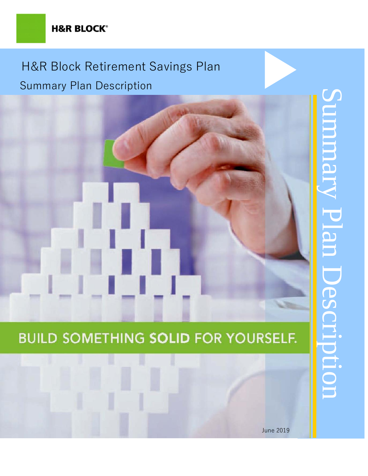## **H&R BLOCK®**

# H&R Block Retirement Savings Plan Summary Plan Description

# **BUILD SOMETHING SOLID FOR YOURSELF.**

# Summary Plan Description mmm y Plan Description

June 2019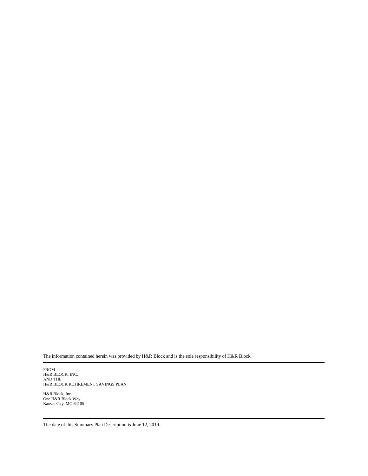The information contained herein was provided by H&R Block and is the sole responsibility of H&R Block.

FROM H&R BLOCK, INC. AND THE H&R BLOCK RETIREMENT SAVINGS PLAN

H&R Block, Inc. One H&R Block Way Kansas City, MO 64105

The date of this Summary Plan Description is June 12, 2019..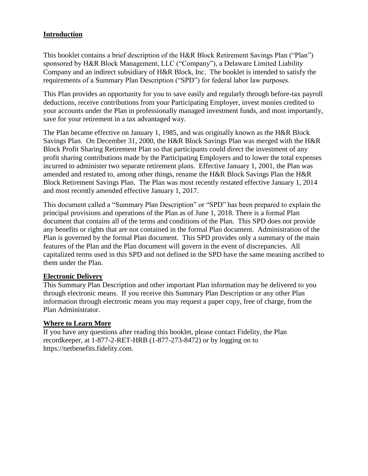### **Introduction**

This booklet contains a brief description of the H&R Block Retirement Savings Plan ("Plan") sponsored by H&R Block Management, LLC ("Company"), a Delaware Limited Liability Company and an indirect subsidiary of H&R Block, Inc. The booklet is intended to satisfy the requirements of a Summary Plan Description ("SPD") for federal labor law purposes.

This Plan provides an opportunity for you to save easily and regularly through before-tax payroll deductions, receive contributions from your Participating Employer, invest monies credited to your accounts under the Plan in professionally managed investment funds, and most importantly, save for your retirement in a tax advantaged way.

The Plan became effective on January 1, 1985, and was originally known as the H&R Block Savings Plan. On December 31, 2000, the H&R Block Savings Plan was merged with the H&R Block Profit Sharing Retirement Plan so that participants could direct the investment of any profit sharing contributions made by the Participating Employers and to lower the total expenses incurred to administer two separate retirement plans. Effective January 1, 2001, the Plan was amended and restated to, among other things, rename the H&R Block Savings Plan the H&R Block Retirement Savings Plan. The Plan was most recently restated effective January 1, 2014 and most recently amended effective January 1, 2017.

This document called a "Summary Plan Description" or "SPD" has been prepared to explain the principal provisions and operations of the Plan as of June 1, 2018. There is a formal Plan document that contains all of the terms and conditions of the Plan. This SPD does not provide any benefits or rights that are not contained in the formal Plan document. Administration of the Plan is governed by the formal Plan document. This SPD provides only a summary of the main features of the Plan and the Plan document will govern in the event of discrepancies. All capitalized terms used in this SPD and not defined in the SPD have the same meaning ascribed to them under the Plan.

### **Electronic Delivery**

This Summary Plan Description and other important Plan information may be delivered to you through electronic means. If you receive this Summary Plan Description or any other Plan information through electronic means you may request a paper copy, free of charge, from the Plan Administrator.

### **Where to Learn More**

If you have any questions after reading this booklet, please contact Fidelity, the Plan recordkeeper, at 1-877-2-RET-HRB (1-877-273-8472) or by logging on to https://netbenefits.fidelity.com.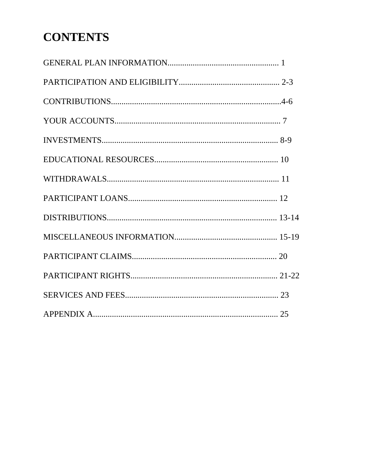# **CONTENTS**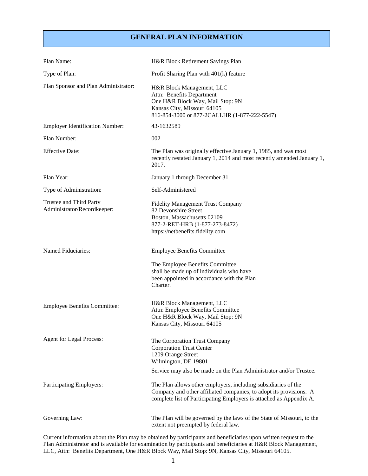### **GENERAL PLAN INFORMATION**

| Plan Name:                                             | H&R Block Retirement Savings Plan                                                                                                                                                                           |
|--------------------------------------------------------|-------------------------------------------------------------------------------------------------------------------------------------------------------------------------------------------------------------|
| Type of Plan:                                          | Profit Sharing Plan with 401(k) feature                                                                                                                                                                     |
| Plan Sponsor and Plan Administrator:                   | H&R Block Management, LLC<br>Attn: Benefits Department<br>One H&R Block Way, Mail Stop: 9N<br>Kansas City, Missouri 64105<br>816-854-3000 or 877-2CALLHR (1-877-222-5547)                                   |
| <b>Employer Identification Number:</b>                 | 43-1632589                                                                                                                                                                                                  |
| Plan Number:                                           | 002                                                                                                                                                                                                         |
| <b>Effective Date:</b>                                 | The Plan was originally effective January 1, 1985, and was most<br>recently restated January 1, 2014 and most recently amended January 1,<br>2017.                                                          |
| Plan Year:                                             | January 1 through December 31                                                                                                                                                                               |
| Type of Administration:                                | Self-Administered                                                                                                                                                                                           |
| Trustee and Third Party<br>Administrator/Recordkeeper: | <b>Fidelity Management Trust Company</b><br>82 Devonshire Street<br>Boston, Massachusetts 02109<br>877-2-RET-HRB (1-877-273-8472)<br>https://netbenefits.fidelity.com                                       |
| Named Fiduciaries:                                     | <b>Employee Benefits Committee</b>                                                                                                                                                                          |
|                                                        | The Employee Benefits Committee<br>shall be made up of individuals who have<br>been appointed in accordance with the Plan<br>Charter.                                                                       |
| <b>Employee Benefits Committee:</b>                    | H&R Block Management, LLC<br>Attn: Employee Benefits Committee<br>One H&R Block Way, Mail Stop: 9N<br>Kansas City, Missouri 64105                                                                           |
| <b>Agent for Legal Process:</b>                        | The Corporation Trust Company<br><b>Corporation Trust Center</b><br>1209 Orange Street<br>Wilmington, DE 19801<br>Service may also be made on the Plan Administrator and/or Trustee.                        |
| Participating Employers:                               | The Plan allows other employers, including subsidiaries of the<br>Company and other affiliated companies, to adopt its provisions. A<br>complete list of Participating Employers is attached as Appendix A. |
| Governing Law:                                         | The Plan will be governed by the laws of the State of Missouri, to the<br>extent not preempted by federal law.                                                                                              |

Current information about the Plan may be obtained by participants and beneficiaries upon written request to the Plan Administrator and is available for examination by participants and beneficiaries at H&R Block Management, LLC, Attn: Benefits Department, One H&R Block Way, Mail Stop: 9N, Kansas City, Missouri 64105.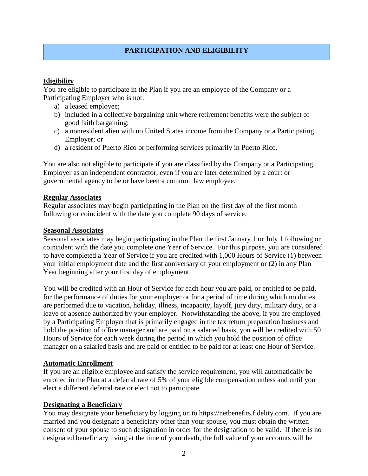### **PARTICIPATION AND ELIGIBILITY**

### **Eligibility**

You are eligible to participate in the Plan if you are an employee of the Company or a Participating Employer who is not:

- a) a leased employee;
- b) included in a collective bargaining unit where retirement benefits were the subject of good faith bargaining;
- c) a nonresident alien with no United States income from the Company or a Participating Employer; or
- d) a resident of Puerto Rico or performing services primarily in Puerto Rico.

You are also not eligible to participate if you are classified by the Company or a Participating Employer as an independent contractor, even if you are later determined by a court or governmental agency to be or have been a common law employee.

### **Regular Associates**

Regular associates may begin participating in the Plan on the first day of the first month following or coincident with the date you complete 90 days of service.

### **Seasonal Associates**

Seasonal associates may begin participating in the Plan the first January 1 or July 1 following or coincident with the date you complete one Year of Service. For this purpose, you are considered to have completed a Year of Service if you are credited with 1,000 Hours of Service (1) between your initial employment date and the first anniversary of your employment or (2) in any Plan Year beginning after your first day of employment.

You will be credited with an Hour of Service for each hour you are paid, or entitled to be paid, for the performance of duties for your employer or for a period of time during which no duties are performed due to vacation, holiday, illness, incapacity, layoff, jury duty, military duty, or a leave of absence authorized by your employer. Notwithstanding the above, if you are employed by a Participating Employer that is primarily engaged in the tax return preparation business and hold the position of office manager and are paid on a salaried basis, you will be credited with 50 Hours of Service for each week during the period in which you hold the position of office manager on a salaried basis and are paid or entitled to be paid for at least one Hour of Service.

### **Automatic Enrollment**

If you are an eligible employee and satisfy the service requirement, you will automatically be enrolled in the Plan at a deferral rate of 5% of your eligible compensation unless and until you elect a different deferral rate or elect not to participate.

### **Designating a Beneficiary**

You may designate your beneficiary by logging on to https://netbenefits.fidelity.com. If you are married and you designate a beneficiary other than your spouse, you must obtain the written consent of your spouse to such designation in order for the designation to be valid. If there is no designated beneficiary living at the time of your death, the full value of your accounts will be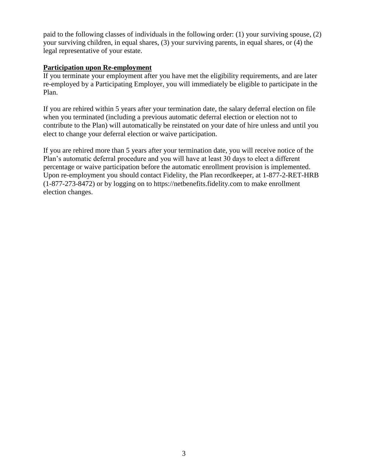paid to the following classes of individuals in the following order: (1) your surviving spouse, (2) your surviving children, in equal shares, (3) your surviving parents, in equal shares, or (4) the legal representative of your estate.

### **Participation upon Re-employment**

If you terminate your employment after you have met the eligibility requirements, and are later re-employed by a Participating Employer, you will immediately be eligible to participate in the Plan.

If you are rehired within 5 years after your termination date, the salary deferral election on file when you terminated (including a previous automatic deferral election or election not to contribute to the Plan) will automatically be reinstated on your date of hire unless and until you elect to change your deferral election or waive participation.

If you are rehired more than 5 years after your termination date, you will receive notice of the Plan's automatic deferral procedure and you will have at least 30 days to elect a different percentage or waive participation before the automatic enrollment provision is implemented. Upon re-employment you should contact Fidelity, the Plan recordkeeper, at 1-877-2-RET-HRB (1-877-273-8472) or by logging on to https://netbenefits.fidelity.com to make enrollment election changes.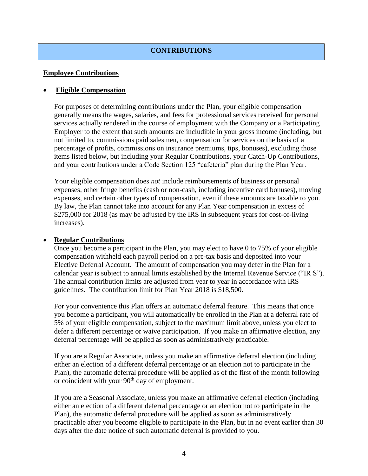### **CONTRIBUTIONS**

### **Employee Contributions**

### • **Eligible Compensation**

For purposes of determining contributions under the Plan, your eligible compensation generally means the wages, salaries, and fees for professional services received for personal services actually rendered in the course of employment with the Company or a Participating Employer to the extent that such amounts are includible in your gross income (including, but not limited to, commissions paid salesmen, compensation for services on the basis of a percentage of profits, commissions on insurance premiums, tips, bonuses), excluding those items listed below, but including your Regular Contributions, your Catch-Up Contributions, and your contributions under a Code Section 125 "cafeteria" plan during the Plan Year.

Your eligible compensation does *not* include reimbursements of business or personal expenses, other fringe benefits (cash or non-cash, including incentive card bonuses), moving expenses, and certain other types of compensation, even if these amounts are taxable to you. By law, the Plan cannot take into account for any Plan Year compensation in excess of \$275,000 for 2018 (as may be adjusted by the IRS in subsequent years for cost-of-living increases).

### • **Regular Contributions**

Once you become a participant in the Plan, you may elect to have 0 to 75% of your eligible compensation withheld each payroll period on a pre-tax basis and deposited into your Elective Deferral Account. The amount of compensation you may defer in the Plan for a calendar year is subject to annual limits established by the Internal Revenue Service ("IR S"). The annual contribution limits are adjusted from year to year in accordance with IRS guidelines. The contribution limit for Plan Year 2018 is \$18,500.

For your convenience this Plan offers an automatic deferral feature. This means that once you become a participant, you will automatically be enrolled in the Plan at a deferral rate of 5% of your eligible compensation, subject to the maximum limit above, unless you elect to defer a different percentage or waive participation. If you make an affirmative election, any deferral percentage will be applied as soon as administratively practicable.

If you are a Regular Associate, unless you make an affirmative deferral election (including either an election of a different deferral percentage or an election not to participate in the Plan), the automatic deferral procedure will be applied as of the first of the month following or coincident with your 90<sup>th</sup> day of employment.

If you are a Seasonal Associate, unless you make an affirmative deferral election (including either an election of a different deferral percentage or an election not to participate in the Plan), the automatic deferral procedure will be applied as soon as administratively practicable after you become eligible to participate in the Plan, but in no event earlier than 30 days after the date notice of such automatic deferral is provided to you.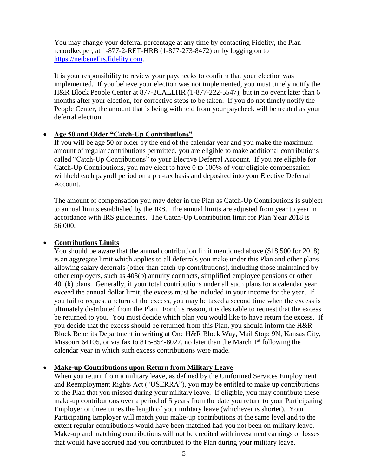You may change your deferral percentage at any time by contacting Fidelity, the Plan recordkeeper, at 1-877-2-RET-HRB (1-877-273-8472) or by logging on to [https://netbenefits.fidelity.com.](https://netbenefits.fidelity.com/)

It is your responsibility to review your paychecks to confirm that your election was implemented. If you believe your election was not implemented, you must timely notify the H&R Block People Center at 877-2CALLHR (1-877-222-5547), but in no event later than 6 months after your election, for corrective steps to be taken. If you do not timely notify the People Center, the amount that is being withheld from your paycheck will be treated as your deferral election.

### • **Age 50 and Older "Catch-Up Contributions"**

If you will be age 50 or older by the end of the calendar year and you make the maximum amount of regular contributions permitted, you are eligible to make additional contributions called "Catch-Up Contributions" to your Elective Deferral Account. If you are eligible for Catch-Up Contributions, you may elect to have 0 to 100% of your eligible compensation withheld each payroll period on a pre-tax basis and deposited into your Elective Deferral Account.

The amount of compensation you may defer in the Plan as Catch-Up Contributions is subject to annual limits established by the IRS. The annual limits are adjusted from year to year in accordance with IRS guidelines. The Catch-Up Contribution limit for Plan Year 2018 is \$6,000.

### • **Contributions Limits**

You should be aware that the annual contribution limit mentioned above (\$18,500 for 2018) is an aggregate limit which applies to all deferrals you make under this Plan and other plans allowing salary deferrals (other than catch-up contributions), including those maintained by other employers, such as 403(b) annuity contracts, simplified employee pensions or other 401(k) plans. Generally, if your total contributions under all such plans for a calendar year exceed the annual dollar limit, the excess must be included in your income for the year. If you fail to request a return of the excess, you may be taxed a second time when the excess is ultimately distributed from the Plan. For this reason, it is desirable to request that the excess be returned to you. You must decide which plan you would like to have return the excess. If you decide that the excess should be returned from this Plan, you should inform the H&R Block Benefits Department in writing at One H&R Block Way, Mail Stop: 9N, Kansas City, Missouri 64105, or via fax to 816-854-8027, no later than the March  $1<sup>st</sup>$  following the calendar year in which such excess contributions were made.

### • **Make-up Contributions upon Return from Military Leave**

When you return from a military leave, as defined by the Uniformed Services Employment and Reemployment Rights Act ("USERRA"), you may be entitled to make up contributions to the Plan that you missed during your military leave. If eligible, you may contribute these make-up contributions over a period of 5 years from the date you return to your Participating Employer or three times the length of your military leave (whichever is shorter). Your Participating Employer will match your make-up contributions at the same level and to the extent regular contributions would have been matched had you not been on military leave. Make-up and matching contributions will not be credited with investment earnings or losses that would have accrued had you contributed to the Plan during your military leave.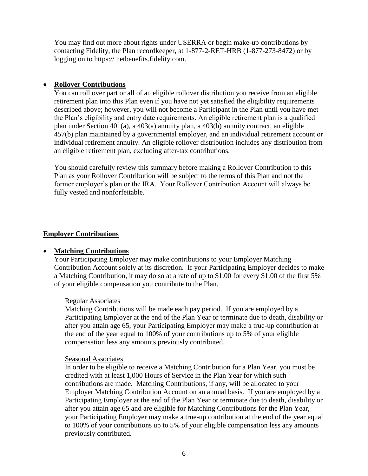You may find out more about rights under USERRA or begin make-up contributions by contacting Fidelity, the Plan recordkeeper, at 1-877-2-RET-HRB (1-877-273-8472) or by logging on to https:// netbenefits.fidelity.com.

### • **Rollover Contributions**

You can roll over part or all of an eligible rollover distribution you receive from an eligible retirement plan into this Plan even if you have not yet satisfied the eligibility requirements described above; however, you will not become a Participant in the Plan until you have met the Plan's eligibility and entry date requirements. An eligible retirement plan is a qualified plan under Section 401(a), a 403(a) annuity plan, a 403(b) annuity contract, an eligible 457(b) plan maintained by a governmental employer, and an individual retirement account or individual retirement annuity. An eligible rollover distribution includes any distribution from an eligible retirement plan, excluding after-tax contributions.

You should carefully review this summary before making a Rollover Contribution to this Plan as your Rollover Contribution will be subject to the terms of this Plan and not the former employer's plan or the IRA. Your Rollover Contribution Account will always be fully vested and nonforfeitable.

### **Employer Contributions**

### • **Matching Contributions**

Your Participating Employer may make contributions to your Employer Matching Contribution Account solely at its discretion. If your Participating Employer decides to make a Matching Contribution, it may do so at a rate of up to \$1.00 for every \$1.00 of the first 5% of your eligible compensation you contribute to the Plan.

### Regular Associates

Matching Contributions will be made each pay period. If you are employed by a Participating Employer at the end of the Plan Year or terminate due to death, disability or after you attain age 65, your Participating Employer may make a true-up contribution at the end of the year equal to 100% of your contributions up to 5% of your eligible compensation less any amounts previously contributed.

### Seasonal Associates

In order to be eligible to receive a Matching Contribution for a Plan Year, you must be credited with at least 1,000 Hours of Service in the Plan Year for which such contributions are made. Matching Contributions, if any, will be allocated to your Employer Matching Contribution Account on an annual basis. If you are employed by a Participating Employer at the end of the Plan Year or terminate due to death, disability or after you attain age 65 and are eligible for Matching Contributions for the Plan Year, your Participating Employer may make a true-up contribution at the end of the year equal to 100% of your contributions up to 5% of your eligible compensation less any amounts previously contributed.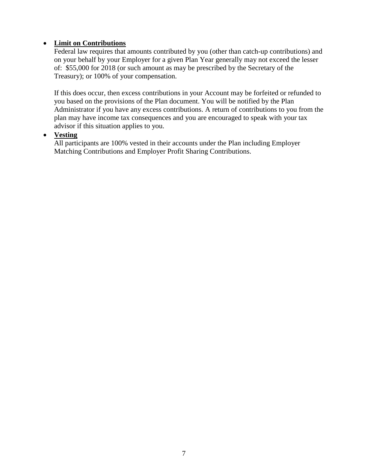### • **Limit on Contributions**

Federal law requires that amounts contributed by you (other than catch-up contributions) and on your behalf by your Employer for a given Plan Year generally may not exceed the lesser of: \$55,000 for 2018 (or such amount as may be prescribed by the Secretary of the Treasury); or 100% of your compensation.

If this does occur, then excess contributions in your Account may be forfeited or refunded to you based on the provisions of the Plan document. You will be notified by the Plan Administrator if you have any excess contributions. A return of contributions to you from the plan may have income tax consequences and you are encouraged to speak with your tax advisor if this situation applies to you.

### • **Vesting**

All participants are 100% vested in their accounts under the Plan including Employer Matching Contributions and Employer Profit Sharing Contributions.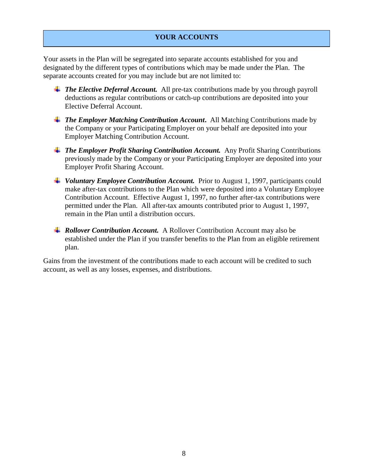### **YOUR ACCOUNTS**

Your assets in the Plan will be segregated into separate accounts established for you and designated by the different types of contributions which may be made under the Plan. The separate accounts created for you may include but are not limited to:

- **<sup>↓</sup>** The Elective Deferral Account. All pre-tax contributions made by you through payroll deductions as regular contributions or catch-up contributions are deposited into your Elective Deferral Account.
- *The Employer Matching Contribution Account***.** All Matching Contributions made by the Company or your Participating Employer on your behalf are deposited into your Employer Matching Contribution Account.
- *The Employer Profit Sharing Contribution Account.* Any Profit Sharing Contributions previously made by the Company or your Participating Employer are deposited into your Employer Profit Sharing Account.
- *Voluntary Employee Contribution Account.* Prior to August 1, 1997, participants could make after-tax contributions to the Plan which were deposited into a Voluntary Employee Contribution Account. Effective August 1, 1997, no further after-tax contributions were permitted under the Plan. All after-tax amounts contributed prior to August 1, 1997, remain in the Plan until a distribution occurs.
- *Rollover Contribution Account.* A Rollover Contribution Account may also be established under the Plan if you transfer benefits to the Plan from an eligible retirement plan.

Gains from the investment of the contributions made to each account will be credited to such account, as well as any losses, expenses, and distributions.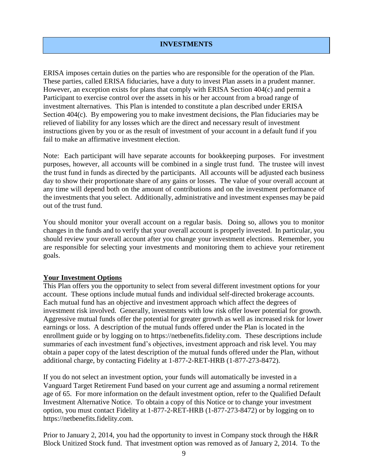### **INVESTMENTS**

ERISA imposes certain duties on the parties who are responsible for the operation of the Plan. These parties, called ERISA fiduciaries, have a duty to invest Plan assets in a prudent manner. However, an exception exists for plans that comply with ERISA Section 404(c) and permit a Participant to exercise control over the assets in his or her account from a broad range of investment alternatives. This Plan is intended to constitute a plan described under ERISA Section 404(c). By empowering you to make investment decisions, the Plan fiduciaries may be relieved of liability for any losses which are the direct and necessary result of investment instructions given by you or as the result of investment of your account in a default fund if you fail to make an affirmative investment election.

Note: Each participant will have separate accounts for bookkeeping purposes. For investment purposes, however, all accounts will be combined in a single trust fund. The trustee will invest the trust fund in funds as directed by the participants. All accounts will be adjusted each business day to show their proportionate share of any gains or losses. The value of your overall account at any time will depend both on the amount of contributions and on the investment performance of the investments that you select. Additionally, administrative and investment expenses may be paid out of the trust fund.

You should monitor your overall account on a regular basis. Doing so, allows you to monitor changes in the funds and to verify that your overall account is properly invested. In particular, you should review your overall account after you change your investment elections. Remember, you are responsible for selecting your investments and monitoring them to achieve your retirement goals.

### **Your Investment Options**

This Plan offers you the opportunity to select from several different investment options for your account. These options include mutual funds and individual self-directed brokerage accounts. Each mutual fund has an objective and investment approach which affect the degrees of investment risk involved. Generally, investments with low risk offer lower potential for growth. Aggressive mutual funds offer the potential for greater growth as well as increased risk for lower earnings or loss. A description of the mutual funds offered under the Plan is located in the enrollment guide or by logging on to https://netbenefits.fidelity.com. These descriptions include summaries of each investment fund's objectives, investment approach and risk level. You may obtain a paper copy of the latest description of the mutual funds offered under the Plan, without additional charge, by contacting Fidelity at 1-877-2-RET-HRB (1-877-273-8472).

If you do not select an investment option, your funds will automatically be invested in a Vanguard Target Retirement Fund based on your current age and assuming a normal retirement age of 65. For more information on the default investment option, refer to the Qualified Default Investment Alternative Notice. To obtain a copy of this Notice or to change your investment option, you must contact Fidelity at 1-877-2-RET-HRB (1-877-273-8472) or by logging on to https://netbenefits.fidelity.com.

Prior to January 2, 2014, you had the opportunity to invest in Company stock through the H&R Block Unitized Stock fund. That investment option was removed as of January 2, 2014. To the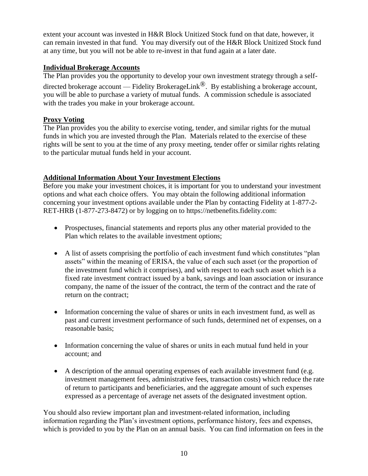extent your account was invested in H&R Block Unitized Stock fund on that date, however, it can remain invested in that fund. You may diversify out of the H&R Block Unitized Stock fund at any time, but you will not be able to re-invest in that fund again at a later date.

### **Individual Brokerage Accounts**

The Plan provides you the opportunity to develop your own investment strategy through a selfdirected brokerage account — Fidelity BrokerageLink<sup> $\mathcal{B}$ </sup>. By establishing a brokerage account, you will be able to purchase a variety of mutual funds. A commission schedule is associated with the trades you make in your brokerage account.

### **Proxy Voting**

The Plan provides you the ability to exercise voting, tender, and similar rights for the mutual funds in which you are invested through the Plan. Materials related to the exercise of these rights will be sent to you at the time of any proxy meeting, tender offer or similar rights relating to the particular mutual funds held in your account.

### **Additional Information About Your Investment Elections**

Before you make your investment choices, it is important for you to understand your investment options and what each choice offers. You may obtain the following additional information concerning your investment options available under the Plan by contacting Fidelity at 1-877-2- RET-HRB (1-877-273-8472) or by logging on to https://netbenefits.fidelity.com:

- Prospectuses, financial statements and reports plus any other material provided to the Plan which relates to the available investment options;
- A list of assets comprising the portfolio of each investment fund which constitutes "plan assets" within the meaning of ERISA, the value of each such asset (or the proportion of the investment fund which it comprises), and with respect to each such asset which is a fixed rate investment contract issued by a bank, savings and loan association or insurance company, the name of the issuer of the contract, the term of the contract and the rate of return on the contract;
- Information concerning the value of shares or units in each investment fund, as well as past and current investment performance of such funds, determined net of expenses, on a reasonable basis;
- Information concerning the value of shares or units in each mutual fund held in your account; and
- A description of the annual operating expenses of each available investment fund (e.g. investment management fees, administrative fees, transaction costs) which reduce the rate of return to participants and beneficiaries, and the aggregate amount of such expenses expressed as a percentage of average net assets of the designated investment option.

You should also review important plan and investment-related information, including information regarding the Plan's investment options, performance history, fees and expenses, which is provided to you by the Plan on an annual basis. You can find information on fees in the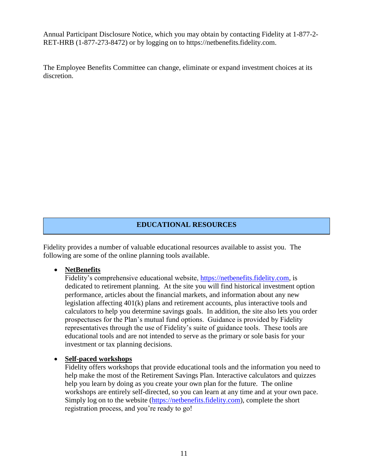Annual Participant Disclosure Notice, which you may obtain by contacting Fidelity at 1-877-2- RET-HRB (1-877-273-8472) or by logging on to https://netbenefits.fidelity.com.

The Employee Benefits Committee can change, eliminate or expand investment choices at its discretion.

### **EDUCATIONAL RESOURCES**

Fidelity provides a number of valuable educational resources available to assist you. The following are some of the online planning tools available.

### • **NetBenefits**

Fidelity's comprehensive educational website, [https://netbenefits.fidelity.com,](https://netbenefits.fidelity.com/) is dedicated to retirement planning. At the site you will find historical investment option performance, articles about the financial markets, and information about any new legislation affecting 401(k) plans and retirement accounts, plus interactive tools and calculators to help you determine savings goals. In addition, the site also lets you order prospectuses for the Plan's mutual fund options. Guidance is provided by Fidelity representatives through the use of Fidelity's suite of guidance tools. These tools are educational tools and are not intended to serve as the primary or sole basis for your investment or tax planning decisions.

### • **Self-paced workshops**

Fidelity offers workshops that provide educational tools and the information you need to help make the most of the Retirement Savings Plan. Interactive calculators and quizzes help you learn by doing as you create your own plan for the future. The online workshops are entirely self-directed, so you can learn at any time and at your own pace. Simply log on to the website [\(https://netbenefits.fidelity.com\)](https://netbenefits.fidelity.com/), complete the short registration process, and you're ready to go!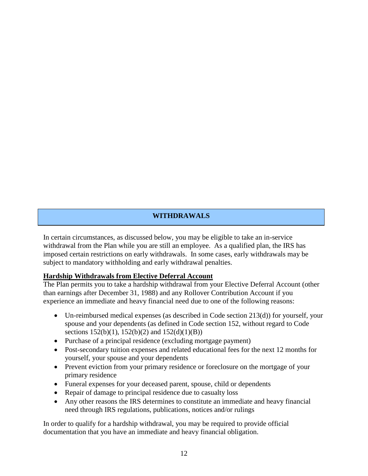### **WITHDRAWALS**

In certain circumstances, as discussed below, you may be eligible to take an in-service withdrawal from the Plan while you are still an employee. As a qualified plan, the IRS has imposed certain restrictions on early withdrawals. In some cases, early withdrawals may be subject to mandatory withholding and early withdrawal penalties.

### **Hardship Withdrawals from Elective Deferral Account**

The Plan permits you to take a hardship withdrawal from your Elective Deferral Account (other than earnings after December 31, 1988) and any Rollover Contribution Account if you experience an immediate and heavy financial need due to one of the following reasons:

- Un-reimbursed medical expenses (as described in Code section 213(d)) for yourself, your spouse and your dependents (as defined in Code section 152, without regard to Code sections  $152(b)(1)$ ,  $152(b)(2)$  and  $152(d)(1)(B)$ )
- Purchase of a principal residence (excluding mortgage payment)
- Post-secondary tuition expenses and related educational fees for the next 12 months for yourself, your spouse and your dependents
- Prevent eviction from your primary residence or foreclosure on the mortgage of your primary residence
- Funeral expenses for your deceased parent, spouse, child or dependents
- Repair of damage to principal residence due to casualty loss
- Any other reasons the IRS determines to constitute an immediate and heavy financial need through IRS regulations, publications, notices and/or rulings

In order to qualify for a hardship withdrawal, you may be required to provide official documentation that you have an immediate and heavy financial obligation.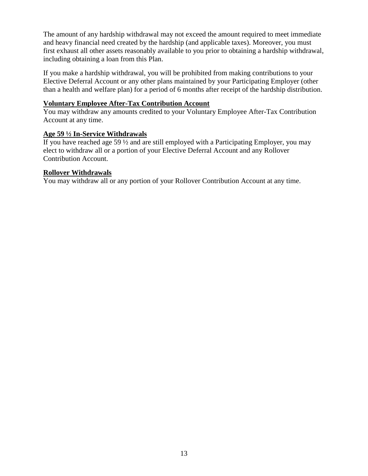The amount of any hardship withdrawal may not exceed the amount required to meet immediate and heavy financial need created by the hardship (and applicable taxes). Moreover, you must first exhaust all other assets reasonably available to you prior to obtaining a hardship withdrawal, including obtaining a loan from this Plan.

If you make a hardship withdrawal, you will be prohibited from making contributions to your Elective Deferral Account or any other plans maintained by your Participating Employer (other than a health and welfare plan) for a period of 6 months after receipt of the hardship distribution.

### **Voluntary Employee After-Tax Contribution Account**

You may withdraw any amounts credited to your Voluntary Employee After-Tax Contribution Account at any time.

### **Age 59 ½ In-Service Withdrawals**

If you have reached age 59 ½ and are still employed with a Participating Employer, you may elect to withdraw all or a portion of your Elective Deferral Account and any Rollover Contribution Account.

### **Rollover Withdrawals**

You may withdraw all or any portion of your Rollover Contribution Account at any time.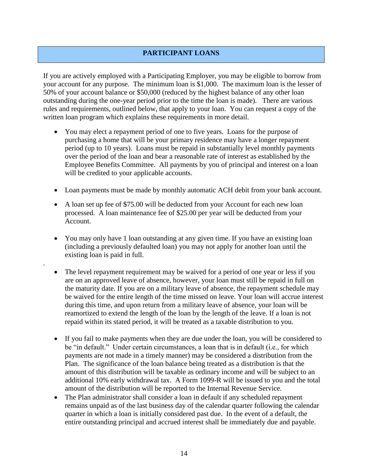### **PARTICIPANT LOANS**

If you are actively employed with a Participating Employer, you may be eligible to borrow from your account for any purpose. The minimum loan is \$1,000. The maximum loan is the lesser of 50% of your account balance or \$50,000 (reduced by the highest balance of any other loan outstanding during the one-year period prior to the time the loan is made). There are various rules and requirements, outlined below, that apply to your loan. You can request a copy of the written loan program which explains these requirements in more detail.

- You may elect a repayment period of one to five years. Loans for the purpose of purchasing a home that will be your primary residence may have a longer repayment period (up to 10 years). Loans must be repaid in substantially level monthly payments over the period of the loan and bear a reasonable rate of interest as established by the Employee Benefits Committee. All payments by you of principal and interest on a loan will be credited to your applicable accounts.
- Loan payments must be made by monthly automatic ACH debit from your bank account.
- A loan set up fee of \$75.00 will be deducted from your Account for each new loan processed. A loan maintenance fee of \$25.00 per year will be deducted from your Account.
- You may only have 1 loan outstanding at any given time. If you have an existing loan (including a previously defaulted loan) you may not apply for another loan until the existing loan is paid in full.

.

- The level repayment requirement may be waived for a period of one year or less if you are on an approved leave of absence, however, your loan must still be repaid in full on the maturity date. If you are on a military leave of absence, the repayment schedule may be waived for the entire length of the time missed on leave. Your loan will accrue interest during this time, and upon return from a military leave of absence, your loan will be reamortized to extend the length of the loan by the length of the leave. If a loan is not repaid within its stated period, it will be treated as a taxable distribution to you.
- If you fail to make payments when they are due under the loan, you will be considered to be "in default." Under certain circumstances, a loan that is in default (i.e., for which payments are not made in a timely manner) may be considered a distribution from the Plan. The significance of the loan balance being treated as a distribution is that the amount of this distribution will be taxable as ordinary income and will be subject to an additional 10% early withdrawal tax. A Form 1099-R will be issued to you and the total amount of the distribution will be reported to the Internal Revenue Service.
- The Plan administrator shall consider a loan in default if any scheduled repayment remains unpaid as of the last business day of the calendar quarter following the calendar quarter in which a loan is initially considered past due. In the event of a default, the entire outstanding principal and accrued interest shall be immediately due and payable.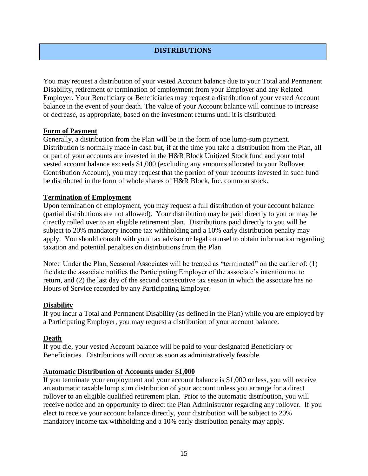### **DISTRIBUTIONS**

You may request a distribution of your vested Account balance due to your Total and Permanent Disability, retirement or termination of employment from your Employer and any Related Employer. Your Beneficiary or Beneficiaries may request a distribution of your vested Account balance in the event of your death. The value of your Account balance will continue to increase or decrease, as appropriate, based on the investment returns until it is distributed.

### **Form of Payment**

Generally, a distribution from the Plan will be in the form of one lump-sum payment. Distribution is normally made in cash but, if at the time you take a distribution from the Plan, all or part of your accounts are invested in the H&R Block Unitized Stock fund and your total vested account balance exceeds \$1,000 (excluding any amounts allocated to your Rollover Contribution Account), you may request that the portion of your accounts invested in such fund be distributed in the form of whole shares of H&R Block, Inc. common stock.

### **Termination of Employment**

Upon termination of employment, you may request a full distribution of your account balance (partial distributions are not allowed). Your distribution may be paid directly to you or may be directly rolled over to an eligible retirement plan. Distributions paid directly to you will be subject to 20% mandatory income tax withholding and a 10% early distribution penalty may apply. You should consult with your tax advisor or legal counsel to obtain information regarding taxation and potential penalties on distributions from the Plan

Note: Under the Plan, Seasonal Associates will be treated as "terminated" on the earlier of: (1) the date the associate notifies the Participating Employer of the associate's intention not to return, and (2) the last day of the second consecutive tax season in which the associate has no Hours of Service recorded by any Participating Employer.

### **Disability**

If you incur a Total and Permanent Disability (as defined in the Plan) while you are employed by a Participating Employer, you may request a distribution of your account balance.

### **Death**

If you die, your vested Account balance will be paid to your designated Beneficiary or Beneficiaries. Distributions will occur as soon as administratively feasible.

### **Automatic Distribution of Accounts under \$1,000**

If you terminate your employment and your account balance is \$1,000 or less, you will receive an automatic taxable lump sum distribution of your account unless you arrange for a direct rollover to an eligible qualified retirement plan. Prior to the automatic distribution, you will receive notice and an opportunity to direct the Plan Administrator regarding any rollover. If you elect to receive your account balance directly, your distribution will be subject to 20% mandatory income tax withholding and a 10% early distribution penalty may apply.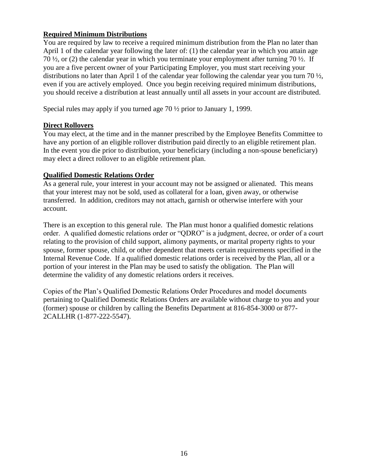### **Required Minimum Distributions**

You are required by law to receive a required minimum distribution from the Plan no later than April 1 of the calendar year following the later of: (1) the calendar year in which you attain age 70 ½, or (2) the calendar year in which you terminate your employment after turning 70 ½. If you are a five percent owner of your Participating Employer, you must start receiving your distributions no later than April 1 of the calendar year following the calendar year you turn 70 ½, even if you are actively employed. Once you begin receiving required minimum distributions, you should receive a distribution at least annually until all assets in your account are distributed.

Special rules may apply if you turned age 70 ½ prior to January 1, 1999.

### **Direct Rollovers**

You may elect, at the time and in the manner prescribed by the Employee Benefits Committee to have any portion of an eligible rollover distribution paid directly to an eligible retirement plan. In the event you die prior to distribution, your beneficiary (including a non-spouse beneficiary) may elect a direct rollover to an eligible retirement plan.

### **Qualified Domestic Relations Order**

As a general rule, your interest in your account may not be assigned or alienated. This means that your interest may not be sold, used as collateral for a loan, given away, or otherwise transferred. In addition, creditors may not attach, garnish or otherwise interfere with your account.

There is an exception to this general rule. The Plan must honor a qualified domestic relations order. A qualified domestic relations order or "QDRO" is a judgment, decree, or order of a court relating to the provision of child support, alimony payments, or marital property rights to your spouse, former spouse, child, or other dependent that meets certain requirements specified in the Internal Revenue Code. If a qualified domestic relations order is received by the Plan, all or a portion of your interest in the Plan may be used to satisfy the obligation. The Plan will determine the validity of any domestic relations orders it receives.

Copies of the Plan's Qualified Domestic Relations Order Procedures and model documents pertaining to Qualified Domestic Relations Orders are available without charge to you and your (former) spouse or children by calling the Benefits Department at 816-854-3000 or 877- 2CALLHR (1-877-222-5547).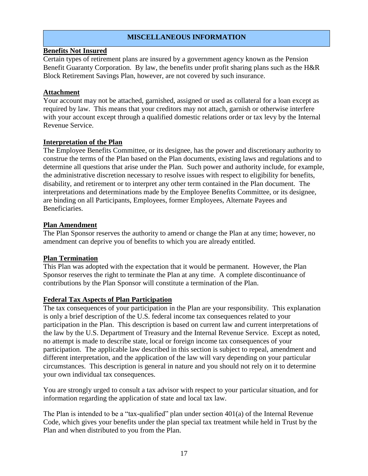### **MISCELLANEOUS INFORMATION**

### **Benefits Not Insured**

Certain types of retirement plans are insured by a government agency known as the Pension Benefit Guaranty Corporation. By law, the benefits under profit sharing plans such as the H&R Block Retirement Savings Plan, however, are not covered by such insurance.

### **Attachment**

Your account may not be attached, garnished, assigned or used as collateral for a loan except as required by law. This means that your creditors may not attach, garnish or otherwise interfere with your account except through a qualified domestic relations order or tax levy by the Internal Revenue Service.

### **Interpretation of the Plan**

The Employee Benefits Committee, or its designee, has the power and discretionary authority to construe the terms of the Plan based on the Plan documents, existing laws and regulations and to determine all questions that arise under the Plan. Such power and authority include, for example, the administrative discretion necessary to resolve issues with respect to eligibility for benefits, disability, and retirement or to interpret any other term contained in the Plan document. The interpretations and determinations made by the Employee Benefits Committee, or its designee, are binding on all Participants, Employees, former Employees, Alternate Payees and Beneficiaries.

### **Plan Amendment**

The Plan Sponsor reserves the authority to amend or change the Plan at any time; however, no amendment can deprive you of benefits to which you are already entitled.

### **Plan Termination**

This Plan was adopted with the expectation that it would be permanent. However, the Plan Sponsor reserves the right to terminate the Plan at any time. A complete discontinuance of contributions by the Plan Sponsor will constitute a termination of the Plan.

### **Federal Tax Aspects of Plan Participation**

The tax consequences of your participation in the Plan are your responsibility. This explanation is only a brief description of the U.S. federal income tax consequences related to your participation in the Plan. This description is based on current law and current interpretations of the law by the U.S. Department of Treasury and the Internal Revenue Service. Except as noted, no attempt is made to describe state, local or foreign income tax consequences of your participation. The applicable law described in this section is subject to repeal, amendment and different interpretation, and the application of the law will vary depending on your particular circumstances. This description is general in nature and you should not rely on it to determine your own individual tax consequences.

You are strongly urged to consult a tax advisor with respect to your particular situation, and for information regarding the application of state and local tax law.

The Plan is intended to be a "tax-qualified" plan under section  $401(a)$  of the Internal Revenue Code, which gives your benefits under the plan special tax treatment while held in Trust by the Plan and when distributed to you from the Plan.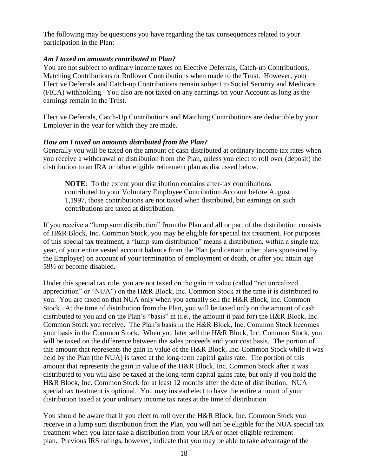The following may be questions you have regarding the tax consequences related to your participation in the Plan:

### *Am I taxed on amounts contributed to Plan?*

You are not subject to ordinary income taxes on Elective Deferrals, Catch-up Contributions, Matching Contributions or Rollover Contributions when made to the Trust. However, your Elective Deferrals and Catch-up Contributions remain subject to Social Security and Medicare (FICA) withholding. You also are not taxed on any earnings on your Account as long as the earnings remain in the Trust.

Elective Deferrals, Catch-Up Contributions and Matching Contributions are deductible by your Employer in the year for which they are made.

### *How am I taxed on amounts distributed from the Plan?*

Generally you will be taxed on the amount of cash distributed at ordinary income tax rates when you receive a withdrawal or distribution from the Plan, unless you elect to roll over (deposit) the distribution to an IRA or other eligible retirement plan as discussed below.

**NOTE**: To the extent your distribution contains after-tax contributions contributed to your Voluntary Employee Contribution Account before August 1,1997, those contributions are not taxed when distributed, but earnings on such contributions are taxed at distribution.

If you receive a "lump sum distribution" from the Plan and all or part of the distribution consists of H&R Block, Inc. Common Stock, you may be eligible for special tax treatment. For purposes of this special tax treatment, a "lump sum distribution" means a distribution, within a single tax year, of your entire vested account balance from the Plan (and certain other plans sponsored by the Employer) on account of your termination of employment or death, or after you attain age 59½ or become disabled.

Under this special tax rule, you are not taxed on the gain in value (called "net unrealized appreciation" or "NUA") on the H&R Block, Inc. Common Stock at the time it is distributed to you. You are taxed on that NUA only when you actually sell the H&R Block, Inc. Common Stock. At the time of distribution from the Plan, you will be taxed only on the amount of cash distributed to you and on the Plan's "basis" in (i.e., the amount it paid for) the H&R Block, Inc. Common Stock you receive. The Plan's basis in the H&R Block, Inc. Common Stock becomes your basis in the Common Stock. When you later sell the H&R Block, Inc. Common Stock, you will be taxed on the difference between the sales proceeds and your cost basis. The portion of this amount that represents the gain in value of the H&R Block, Inc. Common Stock while it was held by the Plan (the NUA) is taxed at the long-term capital gains rate. The portion of this amount that represents the gain in value of the H&R Block, Inc. Common Stock after it was distributed to you will also be taxed at the long-term capital gains rate, but only if you hold the H&R Block, Inc. Common Stock for at least 12 months after the date of distribution. NUA special tax treatment is optional. You may instead elect to have the entire amount of your distribution taxed at your ordinary income tax rates at the time of distribution.

You should be aware that if you elect to roll over the H&R Block, Inc. Common Stock you receive in a lump sum distribution from the Plan, you will not be eligible for the NUA special tax treatment when you later take a distribution from your IRA or other eligible retirement plan. Previous IRS rulings, however, indicate that you may be able to take advantage of the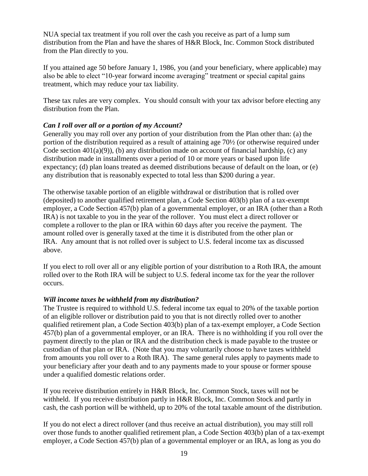NUA special tax treatment if you roll over the cash you receive as part of a lump sum distribution from the Plan and have the shares of H&R Block, Inc. Common Stock distributed from the Plan directly to you.

If you attained age 50 before January 1, 1986, you (and your beneficiary, where applicable) may also be able to elect "10-year forward income averaging" treatment or special capital gains treatment, which may reduce your tax liability.

These tax rules are very complex. You should consult with your tax advisor before electing any distribution from the Plan.

### *Can I roll over all or a portion of my Account?*

Generally you may roll over any portion of your distribution from the Plan other than: (a) the portion of the distribution required as a result of attaining age 70½ (or otherwise required under Code section 401(a)(9)), (b) any distribution made on account of financial hardship, (c) any distribution made in installments over a period of 10 or more years or based upon life expectancy; (d) plan loans treated as deemed distributions because of default on the loan, or (e) any distribution that is reasonably expected to total less than \$200 during a year.

The otherwise taxable portion of an eligible withdrawal or distribution that is rolled over (deposited) to another qualified retirement plan, a Code Section 403(b) plan of a tax-exempt employer, a Code Section 457(b) plan of a governmental employer, or an IRA (other than a Roth IRA) is not taxable to you in the year of the rollover. You must elect a direct rollover or complete a rollover to the plan or IRA within 60 days after you receive the payment. The amount rolled over is generally taxed at the time it is distributed from the other plan or IRA. Any amount that is not rolled over is subject to U.S. federal income tax as discussed above.

If you elect to roll over all or any eligible portion of your distribution to a Roth IRA, the amount rolled over to the Roth IRA will be subject to U.S. federal income tax for the year the rollover occurs.

### *Will income taxes be withheld from my distribution?*

The Trustee is required to withhold U.S. federal income tax equal to 20% of the taxable portion of an eligible rollover or distribution paid to you that is not directly rolled over to another qualified retirement plan, a Code Section 403(b) plan of a tax-exempt employer, a Code Section 457(b) plan of a governmental employer, or an IRA. There is no withholding if you roll over the payment directly to the plan or IRA and the distribution check is made payable to the trustee or custodian of that plan or IRA. (Note that you may voluntarily choose to have taxes withheld from amounts you roll over to a Roth IRA). The same general rules apply to payments made to your beneficiary after your death and to any payments made to your spouse or former spouse under a qualified domestic relations order.

If you receive distribution entirely in H&R Block, Inc. Common Stock, taxes will not be withheld. If you receive distribution partly in H&R Block, Inc. Common Stock and partly in cash, the cash portion will be withheld, up to 20% of the total taxable amount of the distribution.

If you do not elect a direct rollover (and thus receive an actual distribution), you may still roll over those funds to another qualified retirement plan, a Code Section 403(b) plan of a tax-exempt employer, a Code Section 457(b) plan of a governmental employer or an IRA, as long as you do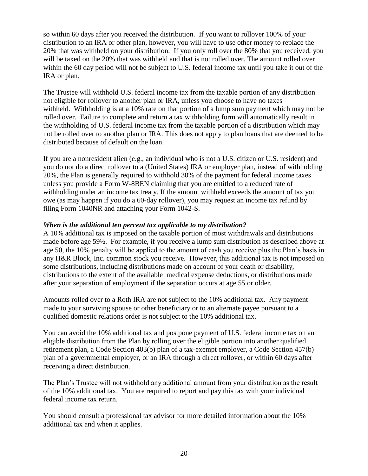so within 60 days after you received the distribution. If you want to rollover 100% of your distribution to an IRA or other plan, however, you will have to use other money to replace the 20% that was withheld on your distribution. If you only roll over the 80% that you received, you will be taxed on the 20% that was withheld and that is not rolled over. The amount rolled over within the 60 day period will not be subject to U.S. federal income tax until you take it out of the IRA or plan.

The Trustee will withhold U.S. federal income tax from the taxable portion of any distribution not eligible for rollover to another plan or IRA, unless you choose to have no taxes withheld. Withholding is at a 10% rate on that portion of a lump sum payment which may not be rolled over. Failure to complete and return a tax withholding form will automatically result in the withholding of U.S. federal income tax from the taxable portion of a distribution which may not be rolled over to another plan or IRA. This does not apply to plan loans that are deemed to be distributed because of default on the loan.

If you are a nonresident alien (e.g., an individual who is not a U.S. citizen or U.S. resident) and you do not do a direct rollover to a (United States) IRA or employer plan, instead of withholding 20%, the Plan is generally required to withhold 30% of the payment for federal income taxes unless you provide a Form W-8BEN claiming that you are entitled to a reduced rate of withholding under an income tax treaty. If the amount withheld exceeds the amount of tax you owe (as may happen if you do a 60-day rollover), you may request an income tax refund by filing Form 1040NR and attaching your Form 1042-S.

### *When is the additional ten percent tax applicable to my distribution?*

A 10% additional tax is imposed on the taxable portion of most withdrawals and distributions made before age 59½. For example, if you receive a lump sum distribution as described above at age 50, the 10% penalty will be applied to the amount of cash you receive plus the Plan's basis in any H&R Block, Inc. common stock you receive. However, this additional tax is not imposed on some distributions, including distributions made on account of your death or disability, distributions to the extent of the available medical expense deductions, or distributions made after your separation of employment if the separation occurs at age 55 or older.

Amounts rolled over to a Roth IRA are not subject to the 10% additional tax. Any payment made to your surviving spouse or other beneficiary or to an alternate payee pursuant to a qualified domestic relations order is not subject to the 10% additional tax.

You can avoid the 10% additional tax and postpone payment of U.S. federal income tax on an eligible distribution from the Plan by rolling over the eligible portion into another qualified retirement plan, a Code Section 403(b) plan of a tax-exempt employer, a Code Section 457(b) plan of a governmental employer, or an IRA through a direct rollover, or within 60 days after receiving a direct distribution.

The Plan's Trustee will not withhold any additional amount from your distribution as the result of the 10% additional tax. You are required to report and pay this tax with your individual federal income tax return.

You should consult a professional tax advisor for more detailed information about the 10% additional tax and when it applies.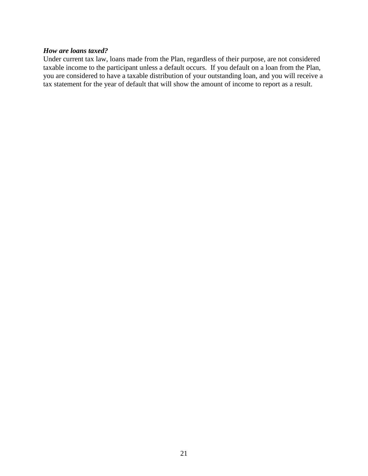### *How are loans taxed?*

Under current tax law, loans made from the Plan, regardless of their purpose, are not considered taxable income to the participant unless a default occurs. If you default on a loan from the Plan, you are considered to have a taxable distribution of your outstanding loan, and you will receive a tax statement for the year of default that will show the amount of income to report as a result.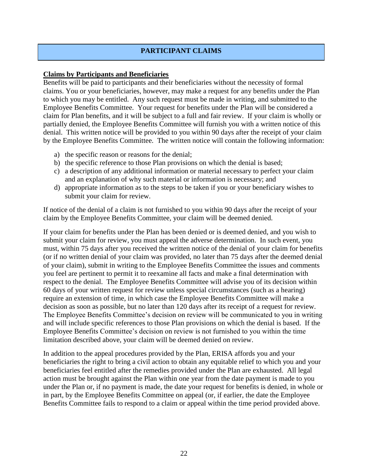### **PARTICIPANT CLAIMS**

### **Claims by Participants and Beneficiaries**

Benefits will be paid to participants and their beneficiaries without the necessity of formal claims. You or your beneficiaries, however, may make a request for any benefits under the Plan to which you may be entitled. Any such request must be made in writing, and submitted to the Employee Benefits Committee. Your request for benefits under the Plan will be considered a claim for Plan benefits, and it will be subject to a full and fair review. If your claim is wholly or partially denied, the Employee Benefits Committee will furnish you with a written notice of this denial. This written notice will be provided to you within 90 days after the receipt of your claim by the Employee Benefits Committee. The written notice will contain the following information:

- a) the specific reason or reasons for the denial;
- b) the specific reference to those Plan provisions on which the denial is based;
- c) a description of any additional information or material necessary to perfect your claim and an explanation of why such material or information is necessary; and
- d) appropriate information as to the steps to be taken if you or your beneficiary wishes to submit your claim for review.

If notice of the denial of a claim is not furnished to you within 90 days after the receipt of your claim by the Employee Benefits Committee, your claim will be deemed denied.

If your claim for benefits under the Plan has been denied or is deemed denied, and you wish to submit your claim for review, you must appeal the adverse determination. In such event, you must, within 75 days after you received the written notice of the denial of your claim for benefits (or if no written denial of your claim was provided, no later than 75 days after the deemed denial of your claim), submit in writing to the Employee Benefits Committee the issues and comments you feel are pertinent to permit it to reexamine all facts and make a final determination with respect to the denial. The Employee Benefits Committee will advise you of its decision within 60 days of your written request for review unless special circumstances (such as a hearing) require an extension of time, in which case the Employee Benefits Committee will make a decision as soon as possible, but no later than 120 days after its receipt of a request for review. The Employee Benefits Committee's decision on review will be communicated to you in writing and will include specific references to those Plan provisions on which the denial is based. If the Employee Benefits Committee's decision on review is not furnished to you within the time limitation described above, your claim will be deemed denied on review.

In addition to the appeal procedures provided by the Plan, ERISA affords you and your beneficiaries the right to bring a civil action to obtain any equitable relief to which you and your beneficiaries feel entitled after the remedies provided under the Plan are exhausted. All legal action must be brought against the Plan within one year from the date payment is made to you under the Plan or, if no payment is made, the date your request for benefits is denied, in whole or in part, by the Employee Benefits Committee on appeal (or, if earlier, the date the Employee Benefits Committee fails to respond to a claim or appeal within the time period provided above.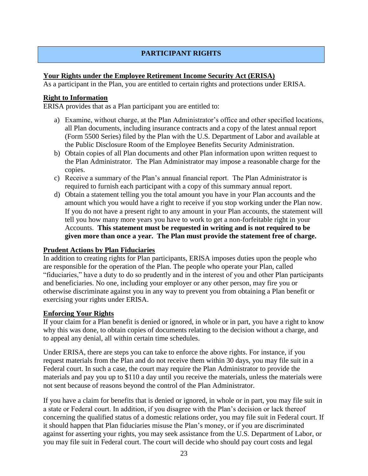### **PARTICIPANT RIGHTS**

### **Your Rights under the Employee Retirement Income Security Act (ERISA)**

As a participant in the Plan, you are entitled to certain rights and protections under ERISA.

### **Right to Information**

ERISA provides that as a Plan participant you are entitled to:

- a) Examine, without charge, at the Plan Administrator's office and other specified locations, all Plan documents, including insurance contracts and a copy of the latest annual report (Form 5500 Series) filed by the Plan with the U.S. Department of Labor and available at the Public Disclosure Room of the Employee Benefits Security Administration.
- b) Obtain copies of all Plan documents and other Plan information upon written request to the Plan Administrator. The Plan Administrator may impose a reasonable charge for the copies.
- c) Receive a summary of the Plan's annual financial report. The Plan Administrator is required to furnish each participant with a copy of this summary annual report.
- d) Obtain a statement telling you the total amount you have in your Plan accounts and the amount which you would have a right to receive if you stop working under the Plan now. If you do not have a present right to any amount in your Plan accounts, the statement will tell you how many more years you have to work to get a non-forfeitable right in your Accounts. **This statement must be requested in writing and is not required to be given more than once a year. The Plan must provide the statement free of charge.**

### **Prudent Actions by Plan Fiduciaries**

In addition to creating rights for Plan participants, ERISA imposes duties upon the people who are responsible for the operation of the Plan. The people who operate your Plan, called "fiduciaries," have a duty to do so prudently and in the interest of you and other Plan participants and beneficiaries. No one, including your employer or any other person, may fire you or otherwise discriminate against you in any way to prevent you from obtaining a Plan benefit or exercising your rights under ERISA.

### **Enforcing Your Rights**

If your claim for a Plan benefit is denied or ignored, in whole or in part, you have a right to know why this was done, to obtain copies of documents relating to the decision without a charge, and to appeal any denial, all within certain time schedules.

Under ERISA, there are steps you can take to enforce the above rights. For instance, if you request materials from the Plan and do not receive them within 30 days, you may file suit in a Federal court. In such a case, the court may require the Plan Administrator to provide the materials and pay you up to \$110 a day until you receive the materials, unless the materials were not sent because of reasons beyond the control of the Plan Administrator.

If you have a claim for benefits that is denied or ignored, in whole or in part, you may file suit in a state or Federal court. In addition, if you disagree with the Plan's decision or lack thereof concerning the qualified status of a domestic relations order, you may file suit in Federal court. If it should happen that Plan fiduciaries misuse the Plan's money, or if you are discriminated against for asserting your rights, you may seek assistance from the U.S. Department of Labor, or you may file suit in Federal court. The court will decide who should pay court costs and legal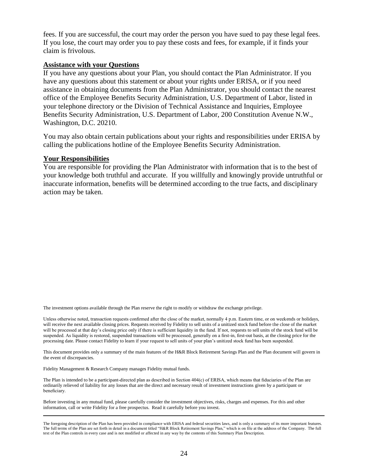fees. If you are successful, the court may order the person you have sued to pay these legal fees. If you lose, the court may order you to pay these costs and fees, for example, if it finds your claim is frivolous.

### **Assistance with your Questions**

If you have any questions about your Plan, you should contact the Plan Administrator. If you have any questions about this statement or about your rights under ERISA, or if you need assistance in obtaining documents from the Plan Administrator, you should contact the nearest office of the Employee Benefits Security Administration, U.S. Department of Labor, listed in your telephone directory or the Division of Technical Assistance and Inquiries, Employee Benefits Security Administration, U.S. Department of Labor, 200 Constitution Avenue N.W., Washington, D.C. 20210.

You may also obtain certain publications about your rights and responsibilities under ERISA by calling the publications hotline of the Employee Benefits Security Administration.

### **Your Responsibilities**

You are responsible for providing the Plan Administrator with information that is to the best of your knowledge both truthful and accurate. If you willfully and knowingly provide untruthful or inaccurate information, benefits will be determined according to the true facts, and disciplinary action may be taken.

The investment options available through the Plan reserve the right to modify or withdraw the exchange privilege.

Unless otherwise noted, transaction requests confirmed after the close of the market, normally 4 p.m. Eastern time, or on weekends or holidays, will receive the next available closing prices. Requests received by Fidelity to sell units of a unitized stock fund before the close of the market will be processed at that day's closing price only if there is sufficient liquidity in the fund. If not, requests to sell units of the stock fund will be suspended. As liquidity is restored, suspended transactions will be processed, generally on a first-in, first-out basis, at the closing price for the processing date. Please contact Fidelity to learn if your request to sell units of your plan's unitized stock fund has been suspended.

This document provides only a summary of the main features of the H&R Block Retirement Savings Plan and the Plan document will govern in the event of discrepancies.

Fidelity Management & Research Company manages Fidelity mutual funds.

The Plan is intended to be a participant-directed plan as described in Section 404(c) of ERISA, which means that fiduciaries of the Plan are ordinarily relieved of liability for any losses that are the direct and necessary result of investment instructions given by a participant or beneficiary.

Before investing in any mutual fund, please carefully consider the investment objectives, risks, charges and expenses. For this and other information, call or write Fidelity for a free prospectus. Read it carefully before you invest.

The foregoing description of the Plan has been provided in compliance with ERISA and federal securities laws, and is only a summary of its more important features. The full terms of the Plan are set forth in detail in a document titled "H&R Block Retirement Savings Plan," which is on file at the address of the Company. The full text of the Plan controls in every case and is not modified or affected in any way by the contents of this Summary Plan Description.